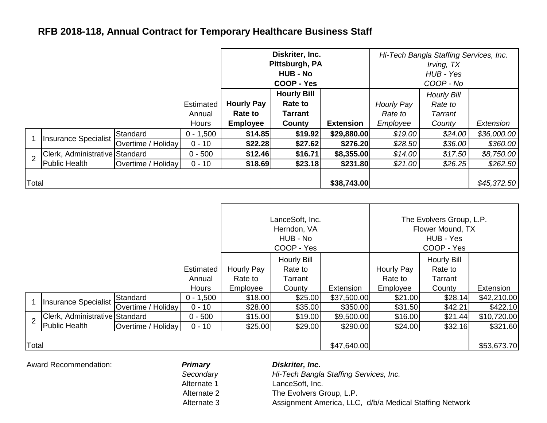## **RFB 2018-118, Annual Contract for Temporary Healthcare Business Staff**

|                |                                |                    |              | Diskriter, Inc.<br>Pittsburgh, PA<br><b>HUB - No</b> |                                      |                  | Hi-Tech Bangla Staffing Services, Inc.<br>Irving, TX<br>HUB - Yes |                               |             |
|----------------|--------------------------------|--------------------|--------------|------------------------------------------------------|--------------------------------------|------------------|-------------------------------------------------------------------|-------------------------------|-------------|
|                |                                |                    |              | <b>COOP - Yes</b>                                    |                                      |                  | COOP - No                                                         |                               |             |
|                |                                |                    | Estimated    | <b>Hourly Pay</b>                                    | <b>Hourly Bill</b><br><b>Rate to</b> |                  | Hourly Pay                                                        | <b>Hourly Bill</b><br>Rate to |             |
|                |                                |                    | Annual       | <b>Rate to</b>                                       | <b>Tarrant</b>                       |                  | Rate to                                                           | Tarrant                       |             |
|                |                                |                    | <b>Hours</b> | <b>Employee</b>                                      | County                               | <b>Extension</b> | Employee                                                          | County                        | Extension   |
|                | Insurance Specialist           | Standard           | $0 - 1,500$  | \$14.85                                              | \$19.92                              | \$29,880.00      | \$19.00                                                           | \$24.00                       | \$36,000.00 |
|                |                                | Overtime / Holiday | $0 - 10$     | \$22.28                                              | \$27.62                              | \$276.20         | \$28.50                                                           | \$36.00                       | \$360.00    |
| $\overline{2}$ | Clerk, Administrative Standard |                    | $0 - 500$    | \$12.46                                              | \$16.71                              | \$8,355.00       | \$14.00                                                           | \$17.50                       | \$8,750.00  |
|                | <b>Public Health</b>           | Overtime / Holiday | $0 - 10$     | \$18.69                                              | \$23.18                              | \$231.80         | \$21.00                                                           | \$26.25                       | \$262.50    |
| Total          |                                |                    |              |                                                      |                                      | \$38,743.00      |                                                                   |                               | \$45,372.50 |

|                |                                |                    |                                     | LanceSoft, Inc.<br>Herndon, VA<br>HUB - No<br>COOP - Yes |                                             | The Evolvers Group, L.P.<br>Flower Mound, TX<br>HUB - Yes<br>COOP - Yes |                                   |                                                    |             |
|----------------|--------------------------------|--------------------|-------------------------------------|----------------------------------------------------------|---------------------------------------------|-------------------------------------------------------------------------|-----------------------------------|----------------------------------------------------|-------------|
|                |                                |                    | Estimated<br>Annual<br><b>Hours</b> | Hourly Pay<br>Rate to<br>Employee                        | Hourly Bill<br>Rate to<br>Tarrant<br>County | Extension                                                               | Hourly Pay<br>Rate to<br>Employee | <b>Hourly Bill</b><br>Rate to<br>Tarrant<br>County | Extension   |
|                | <b>Insurance Specialist</b>    | Standard           | $0 - 1,500$                         | \$18.00                                                  | \$25.00                                     | \$37,500.00                                                             | \$21.00                           | \$28.14                                            | \$42,210.00 |
|                |                                | Overtime / Holiday | $0 - 10$                            | \$28.00                                                  | \$35.00                                     | \$350.00                                                                | \$31.50                           | \$42.21                                            | \$422.10    |
| $\overline{2}$ | Clerk, Administrative Standard |                    | $0 - 500$                           | \$15.00                                                  | \$19.00                                     | \$9,500.00                                                              | \$16.00                           | \$21.44                                            | \$10,720.00 |
|                | Public Health                  | Overtime / Holiday | $0 - 10$                            | \$25.00                                                  | \$29.00                                     | \$290.00                                                                | \$24.00                           | \$32.16                                            | \$321.60    |
| Total          |                                |                    |                                     |                                                          |                                             | \$47,640.00                                                             |                                   |                                                    | \$53,673.70 |

Award Recommendation: *Primary*

*Secondary* Alternate 1 Alternate 2

## *Diskriter, Inc.*

Alternate 3 Assignment America, LLC, d/b/a Medical Staffing Network LanceSoft, Inc. The Evolvers Group, L.P. *Hi-Tech Bangla Staffing Services, Inc.*